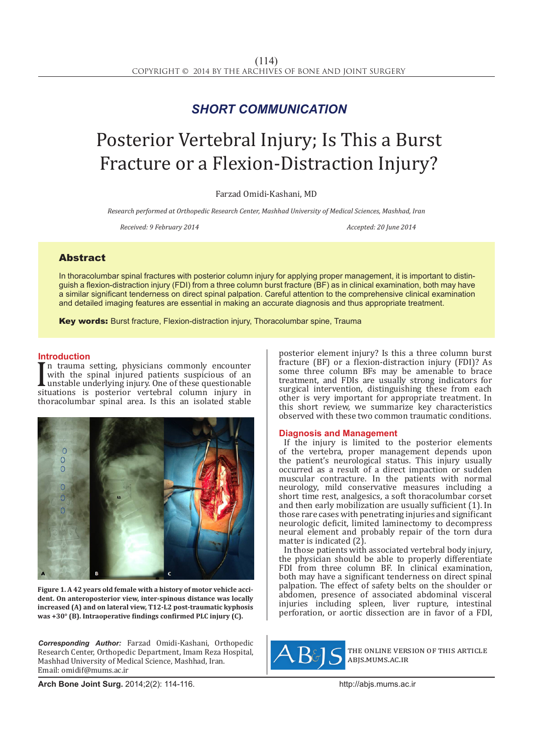# *SHORT COMMUNICATION*

# Posterior Vertebral Injury; Is This a Burst Fracture or a Flexion-Distraction Injury?

Farzad Omidi-Kashani, MD

*Research performed at Orthopedic Research Center, Mashhad University of Medical Sciences, Mashhad, Iran*

*Received: 9 February 2014 Accepted: 20 June 2014*

## Abstract

In thoracolumbar spinal fractures with posterior column injury for applying proper management, it is important to distinguish a flexion-distraction injury (FDI) from a three column burst fracture (BF) as in clinical examination, both may have a similar significant tenderness on direct spinal palpation. Careful attention to the comprehensive clinical examination and detailed imaging features are essential in making an accurate diagnosis and thus appropriate treatment.

Key words: Burst fracture, Flexion-distraction injury, Thoracolumbar spine, Trauma

### **Introduction**

with the spinal injured patients suspicious of an<br>unstable underlying injury. One of these questionable<br>situations is posterior vertebral column injury in<br>there column injury in n trauma setting, physicians commonly encounter with the spinal injured patients suspicious of an unstable underlying injury. One of these questionable thoracolumbar spinal area. Is this an isolated stable



**Figure 1. A 42 years old female with a history of motor vehicle accident. On anteroposterior view, inter-spinous distance was locally increased (A) and on lateral view, T12-L2 post-traumatic kyphosis was +30° (B). Intraoperative findings confirmed PLC injury (C).** 

*Corresponding Author:* Farzad Omidi-Kashani, Orthopedic Research Center, Orthopedic Department, Imam Reza Hospital, Mashhad University of Medical Science, Mashhad, Iran. Email: omidif@mums.ac.ir

posterior element injury? Is this a three column burst fracture (BF) or a flexion-distraction injury (FDI)? As some three column BFs may be amenable to brace treatment, and FDIs are usually strong indicators for surgical intervention, distinguishing these from each other is very important for appropriate treatment. In this short review, we summarize key characteristics observed with these two common traumatic conditions.

### **Diagnosis and Management**

If the injury is limited to the posterior elements of the vertebra, proper management depends upon the patient's neurological status. This injury usually occurred as a result of a direct impaction or sudden muscular contracture. In the patients with normal neurology, mild conservative measures including a short time rest, analgesics, a soft thoracolumbar corset and then early mobilization are usually sufficient (1). In those rare cases with penetrating injuries and significant neurologic deficit, limited laminectomy to decompress neural element and probably repair of the torn dura matter is indicated (2).

In those patients with associated vertebral body injury, the physician should be able to properly differentiate FDI from three column BF. In clinical examination, both may have a significant tenderness on direct spinal palpation. The effect of safety belts on the shoulder or abdomen, presence of associated abdominal visceral injuries including spleen, liver rupture, intestinal perforation, or aortic dissection are in favor of a FDI,



the online version of this article abjs.mums.ac.ir

**Arch Bone Joint Surg.** 2014;2(2): 114-116.http://abjs.mums.ac.ir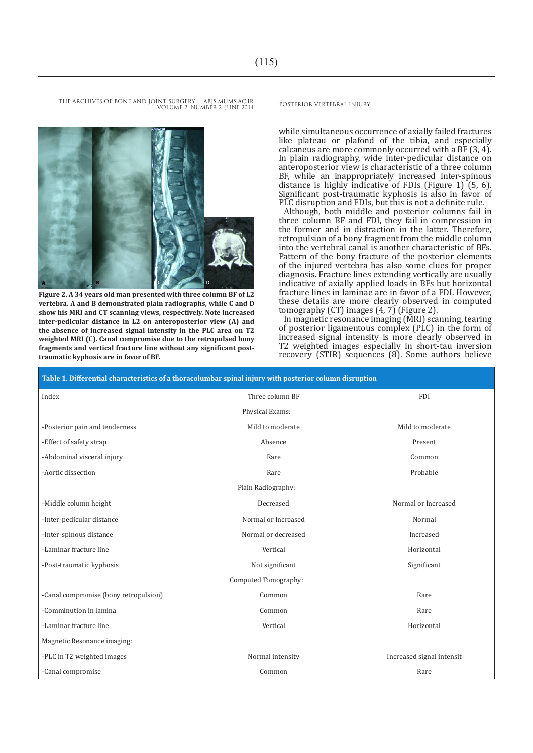THE ARCHIVES OF BONE AND JOINT SURGERY. ABJS.MUMS.AC.IR POSTERIOR VERTEBRAL INIURY VOLUME 2. NUMBER 2. JUNE 2014



**Figure 2. A 34 years old man presented with three column BF of L2 vertebra. A and B demonstrated plain radiographs, while C and D show his MRI and CT scanning views, respectively. Note increased inter-pedicular distance in L2 on anteroposterior view (A) and the absence of increased signal intensity in the PLC area on T2 weighted MRI (C). Canal compromise due to the retropulsed bony fragments and vertical fracture line without any significant posttraumatic kyphosis are in favor of BF.**

while simultaneous occurrence of axially failed fractures like plateau or plafond of the tibia, and especially calcaneus are more commonly occurred with a BF  $(3, 4)$ . In plain radiography, wide inter-pedicular distance on anteroposterior view is characteristic of a three column BF, while an inappropriately increased inter-spinous distance is highly indicative of FDIs (Figure 1) (5, 6). Significant post-traumatic kyphosis is also in favor of PLC disruption and FDIs, but this is not a definite rule.

Although, both middle and posterior columns fail in three column BF and FDI, they fail in compression in the former and in distraction in the latter. Therefore, retropulsion of a bony fragment from the middle column into the vertebral canal is another characteristic of BFs. Pattern of the bony fracture of the posterior elements of the injured vertebra has also some clues for proper diagnosis. Fracture lines extending vertically are usually indicative of axially applied loads in BFs but horizontal fracture lines in laminae are in favor of a FDI. However, these details are more clearly observed in computed tomography (CT) images (4, 7) (Figure 2).

In magnetic resonance imaging (MRI) scanning, tearing of posterior ligamentous complex (PLC) in the form of increased signal intensity is more clearly observed in T2 weighted images especially in short-tau inversion recovery (STIR) sequences (8). Some authors believe

| Table 1. Differential characteristics of a thoracolumbar spinal injury with posterior column disruption |                     |                           |
|---------------------------------------------------------------------------------------------------------|---------------------|---------------------------|
| Index                                                                                                   | Three column BF     | <b>FDI</b>                |
|                                                                                                         | Physical Exams:     |                           |
| -Posterior pain and tenderness                                                                          | Mild to moderate    | Mild to moderate          |
| -Effect of safety strap                                                                                 | Absence             | Present                   |
| -Abdominal visceral injury                                                                              | Rare                | Common                    |
| -Aortic dissection                                                                                      | Rare                | Probable                  |
| Plain Radiography:                                                                                      |                     |                           |
| -Middle column height                                                                                   | Decreased           | Normal or Increased       |
| -Inter-pedicular distance                                                                               | Normal or Increased | Normal                    |
| -Inter-spinous distance                                                                                 | Normal or decreased | Increased                 |
| -Laminar fracture line                                                                                  | Vertical            | Horizontal                |
| -Post-traumatic kyphosis                                                                                | Not significant     | Significant               |
| Computed Tomography:                                                                                    |                     |                           |
| -Canal compromise (bony retropulsion)                                                                   | Common              | Rare                      |
| -Comminution in lamina                                                                                  | Common              | Rare                      |
| -Laminar fracture line                                                                                  | Vertical            | Horizontal                |
| Magnetic Resonance imaging:                                                                             |                     |                           |
| -PLC in T2 weighted images                                                                              | Normal intensity    | Increased signal intensit |
| -Canal compromise                                                                                       | Common              | Rare                      |